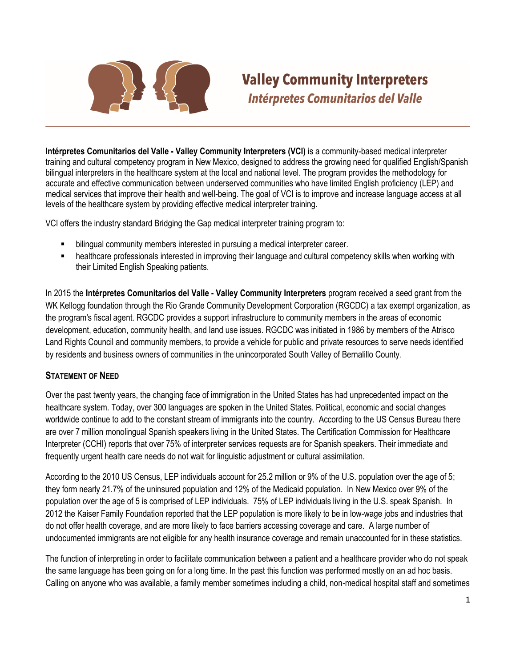

## **Valley Community Interpreters Intérpretes Comunitarios del Valle**

**Intérpretes Comunitarios del Valle - Valley Community Interpreters (VCI)** is a community-based medical interpreter training and cultural competency program in New Mexico, designed to address the growing need for qualified English/Spanish bilingual interpreters in the healthcare system at the local and national level. The program provides the methodology for accurate and effective communication between underserved communities who have limited English proficiency (LEP) and medical services that improve their health and well-being. The goal of VCI is to improve and increase language access at all levels of the healthcare system by providing effective medical interpreter training.

VCI offers the industry standard Bridging the Gap medical interpreter training program to:

- bilingual community members interested in pursuing a medical interpreter career.
- healthcare professionals interested in improving their language and cultural competency skills when working with their Limited English Speaking patients.

In 2015 the **Intérpretes Comunitarios del Valle - Valley Community Interpreters** program received a seed grant from the WK Kellogg foundation through the Rio Grande Community Development Corporation (RGCDC) a tax exempt organization, as the program's fiscal agent. RGCDC provides a support infrastructure to community members in the areas of economic development, education, community health, and land use issues. RGCDC was initiated in 1986 by members of the Atrisco Land Rights Council and community members, to provide a vehicle for public and private resources to serve needs identified by residents and business owners of communities in the unincorporated South Valley of Bernalillo County.

## **STATEMENT OF NEED**

Over the past twenty years, the changing face of immigration in the United States has had unprecedented impact on the healthcare system. Today, over 300 languages are spoken in the United States. Political, economic and social changes worldwide continue to add to the constant stream of immigrants into the country. According to the US Census Bureau there are over 7 million monolingual Spanish speakers living in the United States. The Certification Commission for Healthcare Interpreter (CCHI) reports that over 75% of interpreter services requests are for Spanish speakers. Their immediate and frequently urgent health care needs do not wait for linguistic adjustment or cultural assimilation.

According to the 2010 US Census, LEP individuals account for 25.2 million or 9% of the U.S. population over the age of 5; they form nearly 21.7% of the uninsured population and 12% of the Medicaid population. In New Mexico over 9% of the population over the age of 5 is comprised of LEP individuals. 75% of LEP individuals living in the U.S. speak Spanish. In 2012 the Kaiser Family Foundation reported that the LEP population is more likely to be in low-wage jobs and industries that do not offer health coverage, and are more likely to face barriers accessing coverage and care. A large number of undocumented immigrants are not eligible for any health insurance coverage and remain unaccounted for in these statistics.

The function of interpreting in order to facilitate communication between a patient and a healthcare provider who do not speak the same language has been going on for a long time. In the past this function was performed mostly on an ad hoc basis. Calling on anyone who was available, a family member sometimes including a child, non-medical hospital staff and sometimes